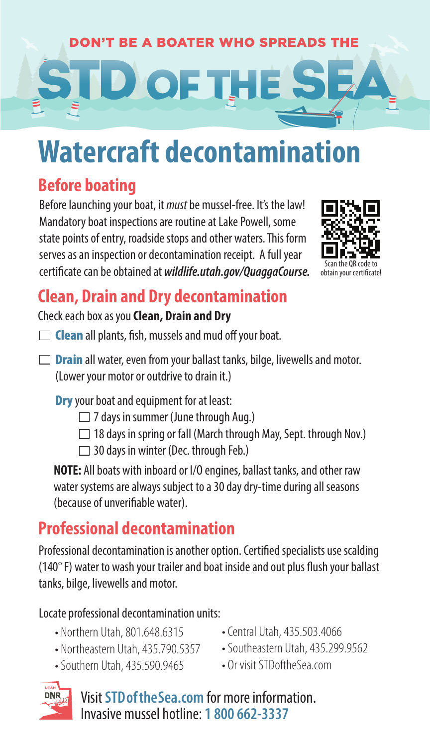# **DON'T BE A BOATER WHO SPREADS THE D** OF THE

# **Watercraft decontamination**

## **Before boating**

Before launching your boat, it *must* be mussel-free. It's the law! Mandatory boat inspections are routine at Lake Powell, some state points of entry, roadside stops and other waters. This form serves as an inspection or decontamination receipt. A full year certificate can be obtained at *wildlife.utah.gov/QuaggaCourse*.



## **Clean, Drain and Dry decontamination**

#### Check each box as you **Clean, Drain and Dry**

- $\Box$  Clean all plants, fish, mussels and mud off your boat.
- $\Box$  **Drain** all water, even from your ballast tanks, bilge, livewells and motor. (Lower your motor or outdrive to drain it.)

**Dry** your boat and equipment for at least:

- $\Box$  7 days in summer (June through Aug.)
- $\Box$  18 days in spring or fall (March through May, Sept. through Nov.)
- □ 30 days in winter (Dec. through Feb.)

**NOTE:** All boats with inboard or I/O engines, ballast tanks, and other raw water systems are always subject to a 30 day dry-time during all seasons (because of unverifiable water).

# **Professional decontamination**

Professional decontamination is another option. Certified specialists use scalding ( $140^{\circ}$  F) water to wash your trailer and boat inside and out plus flush your ballast tanks, bilge, livewells and motor.

Locate professional decontamination units:

- Northern Utah, 801.648.6315
- Northeastern Utah, 435.790.5357
- Southern Utah, 435.590.9465
- Central Utah, 435.503.4066
- Southeastern Utah, 435.299.9562
- Or visit STDoftheSea.com



Visit **STDoftheSea.com** for more information. Invasive mussel hotline: **1 800 662-3337**